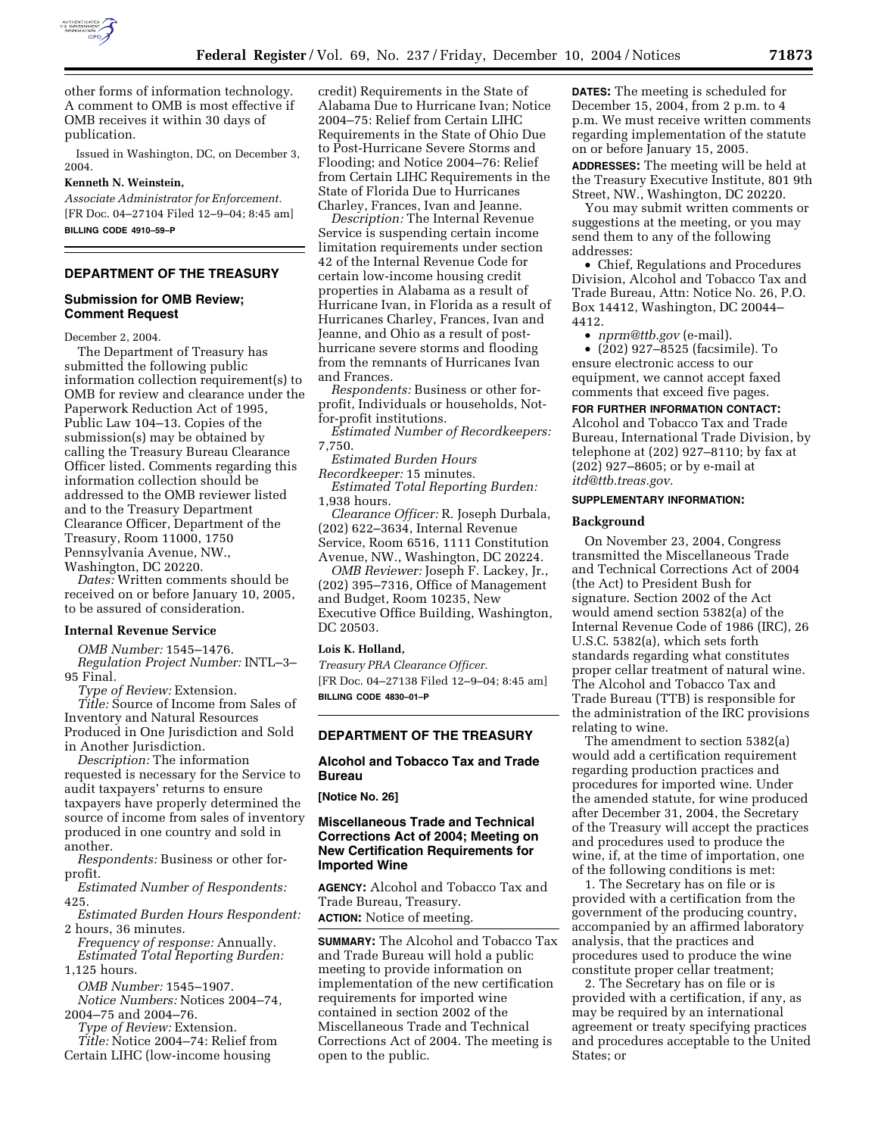

other forms of information technology. A comment to OMB is most effective if OMB receives it within 30 days of publication.

Issued in Washington, DC, on December 3, 2004.

# **Kenneth N. Weinstein,**

*Associate Administrator for Enforcement.* [FR Doc. 04–27104 Filed 12–9–04; 8:45 am] **BILLING CODE 4910–59–P**

# **DEPARTMENT OF THE TREASURY**

### **Submission for OMB Review; Comment Request**

December 2, 2004.

The Department of Treasury has submitted the following public information collection requirement(s) to OMB for review and clearance under the Paperwork Reduction Act of 1995, Public Law 104–13. Copies of the submission(s) may be obtained by calling the Treasury Bureau Clearance Officer listed. Comments regarding this information collection should be addressed to the OMB reviewer listed and to the Treasury Department Clearance Officer, Department of the Treasury, Room 11000, 1750 Pennsylvania Avenue, NW., Washington, DC 20220.

*Dates:* Written comments should be received on or before January 10, 2005, to be assured of consideration.

#### **Internal Revenue Service**

*OMB Number:* 1545–1476. *Regulation Project Number:* INTL–3– 95 Final.

*Type of Review:* Extension.

*Title:* Source of Income from Sales of Inventory and Natural Resources Produced in One Jurisdiction and Sold in Another Jurisdiction.

*Description:* The information requested is necessary for the Service to audit taxpayers' returns to ensure taxpayers have properly determined the source of income from sales of inventory produced in one country and sold in another.

*Respondents:* Business or other forprofit.

*Estimated Number of Respondents:* 425.

*Estimated Burden Hours Respondent:* 2 hours, 36 minutes.

*Frequency of response:* Annually. *Estimated Total Reporting Burden:* 1,125 hours.

*OMB Number:* 1545–1907.

*Notice Numbers:* Notices 2004–74, 2004–75 and 2004–76.

*Type of Review:* Extension. *Title:* Notice 2004–74: Relief from

Certain LIHC (low-income housing

credit) Requirements in the State of Alabama Due to Hurricane Ivan; Notice 2004–75: Relief from Certain LIHC Requirements in the State of Ohio Due to Post-Hurricane Severe Storms and Flooding; and Notice 2004–76: Relief from Certain LIHC Requirements in the State of Florida Due to Hurricanes Charley, Frances, Ivan and Jeanne.

*Description:* The Internal Revenue Service is suspending certain income limitation requirements under section 42 of the Internal Revenue Code for certain low-income housing credit properties in Alabama as a result of Hurricane Ivan, in Florida as a result of Hurricanes Charley, Frances, Ivan and Jeanne, and Ohio as a result of posthurricane severe storms and flooding from the remnants of Hurricanes Ivan and Frances.

*Respondents:* Business or other forprofit, Individuals or households, Notfor-profit institutions.

*Estimated Number of Recordkeepers:* 7,750.

*Estimated Burden Hours* 

*Recordkeeper:* 15 minutes. *Estimated Total Reporting Burden:* 1,938 hours.

*Clearance Officer:* R. Joseph Durbala, (202) 622–3634, Internal Revenue Service, Room 6516, 1111 Constitution Avenue, NW., Washington, DC 20224.

*OMB Reviewer:* Joseph F. Lackey, Jr., (202) 395–7316, Office of Management and Budget, Room 10235, New Executive Office Building, Washington, DC 20503.

#### **Lois K. Holland,**

*Treasury PRA Clearance Officer.* [FR Doc. 04–27138 Filed 12–9–04; 8:45 am] **BILLING CODE 4830–01–P**

### **DEPARTMENT OF THE TREASURY**

### **Alcohol and Tobacco Tax and Trade Bureau**

**[Notice No. 26]** 

open to the public.

## **Miscellaneous Trade and Technical Corrections Act of 2004; Meeting on New Certification Requirements for Imported Wine**

**AGENCY:** Alcohol and Tobacco Tax and Trade Bureau, Treasury. **ACTION:** Notice of meeting.

**SUMMARY:** The Alcohol and Tobacco Tax and Trade Bureau will hold a public meeting to provide information on implementation of the new certification requirements for imported wine contained in section 2002 of the Miscellaneous Trade and Technical Corrections Act of 2004. The meeting is

**DATES:** The meeting is scheduled for December 15, 2004, from 2 p.m. to 4 p.m. We must receive written comments regarding implementation of the statute on or before January 15, 2005.

**ADDRESSES:** The meeting will be held at the Treasury Executive Institute, 801 9th Street, NW., Washington, DC 20220.

You may submit written comments or suggestions at the meeting, or you may send them to any of the following addresses:

• Chief, Regulations and Procedures Division, Alcohol and Tobacco Tax and Trade Bureau, Attn: Notice No. 26, P.O. Box 14412, Washington, DC 20044– 4412.

• *nprm@ttb.gov* (e-mail).

• (202) 927–8525 (facsimile). To ensure electronic access to our equipment, we cannot accept faxed comments that exceed five pages.

**FOR FURTHER INFORMATION CONTACT:** Alcohol and Tobacco Tax and Trade Bureau, International Trade Division, by telephone at (202) 927–8110; by fax at (202) 927–8605; or by e-mail at *itd@ttb.treas.gov.*

#### **SUPPLEMENTARY INFORMATION:**

#### **Background**

On November 23, 2004, Congress transmitted the Miscellaneous Trade and Technical Corrections Act of 2004 (the Act) to President Bush for signature. Section 2002 of the Act would amend section 5382(a) of the Internal Revenue Code of 1986 (IRC), 26 U.S.C. 5382(a), which sets forth standards regarding what constitutes proper cellar treatment of natural wine. The Alcohol and Tobacco Tax and Trade Bureau (TTB) is responsible for the administration of the IRC provisions relating to wine.

The amendment to section 5382(a) would add a certification requirement regarding production practices and procedures for imported wine. Under the amended statute, for wine produced after December 31, 2004, the Secretary of the Treasury will accept the practices and procedures used to produce the wine, if, at the time of importation, one of the following conditions is met:

1. The Secretary has on file or is provided with a certification from the government of the producing country, accompanied by an affirmed laboratory analysis, that the practices and procedures used to produce the wine constitute proper cellar treatment;

2. The Secretary has on file or is provided with a certification, if any, as may be required by an international agreement or treaty specifying practices and procedures acceptable to the United States; or